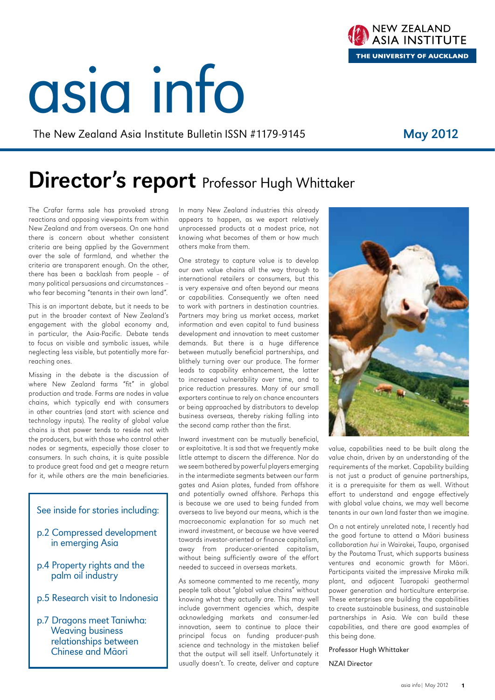#### asia info | May 2012  $1$

# asia info

The New Zealand Asia Institute Bulletin ISSN #1179-9145 May 2012

### Director's report Professor Hugh Whittaker

The Crafar farms sale has provoked strong reactions and opposing viewpoints from within New Zealand and from overseas. On one hand there is concern about whether consistent criteria are being applied by the Government over the sale of farmland, and whether the criteria are transparent enough. On the other, there has been a backlash from people – of many political persuasions and circumstances – who fear becoming "tenants in their own land".

This is an important debate, but it needs to be put in the broader context of New Zealand's engagement with the global economy and, in particular, the Asia-Pacific. Debate tends to focus on visible and symbolic issues, while neglecting less visible, but potentially more farreaching ones.

Missing in the debate is the discussion of where New Zealand farms "fit" in global production and trade. Farms are nodes in value chains, which typically end with consumers in other countries (and start with science and technology inputs). The reality of global value chains is that power tends to reside not with the producers, but with those who control other nodes or segments, especially those closer to consumers. In such chains, it is quite possible to produce great food and get a meagre return for it, while others are the main beneficiaries.

#### See inside for stories including:

- p.2 Compressed development in emerging Asia
- p.4 Property rights and the palm oil industry
- p.5 Research visit to Indonesia
- p.7 Dragons meet Taniwha: Weaving business relationships between Chinese and Māori

In many New Zealand industries this already appears to happen, as we export relatively unprocessed products at a modest price, not knowing what becomes of them or how much others make from them.

One strategy to capture value is to develop our own value chains all the way through to international retailers or consumers, but this is very expensive and often beyond our means or capabilities. Consequently we often need to work with partners in destination countries. Partners may bring us market access, market information and even capital to fund business development and innovation to meet customer demands. But there is a huge difference between mutually beneficial partnerships, and blithely turning over our produce. The former leads to capability enhancement, the latter to increased vulnerability over time, and to price reduction pressures. Many of our small exporters continue to rely on chance encounters or being approached by distributors to develop business overseas, thereby risking falling into the second camp rather than the first.

Inward investment can be mutually beneficial, or exploitative. It is sad that we frequently make little attempt to discern the difference. Nor do we seem bothered by powerful players emerging in the intermediate segments between our farm gates and Asian plates, funded from offshore and potentially owned offshore. Perhaps this is because we are used to being funded from overseas to live beyond our means, which is the macroeconomic explanation for so much net inward investment, or because we have veered towards investor-oriented or finance capitalism, away from producer-oriented capitalism, without being sufficiently aware of the effort needed to succeed in overseas markets.

As someone commented to me recently, many people talk about "global value chains" without knowing what they actually are. This may well include government agencies which, despite acknowledging markets and consumer-led innovation, seem to continue to place their principal focus on funding producer-push science and technology in the mistaken belief that the output will sell itself. Unfortunately it usually doesn't. To create, deliver and capture value, capabilities need to be built along the value chain, driven by an understanding of the requirements of the market. Capability building is not just a product of genuine partnerships, it is a prerequisite for them as well. Without effort to understand and engage effectively with global value chains, we may well become tenants in our own land faster than we imagine.

On a not entirely unrelated note, I recently had the good fortune to attend a Māori business collaboration hui in Wairakei, Taupo, organised by the Poutama Trust, which supports business ventures and economic growth for Māori. Participants visited the impressive Miraka milk plant, and adjacent Tuaropaki geothermal power generation and horticulture enterprise. These enterprises are building the capabilities to create sustainable business, and sustainable partnerships in Asia. We can build these capabilities, and there are good examples of this being done.

#### Professor Hugh Whittaker

NZAI Director



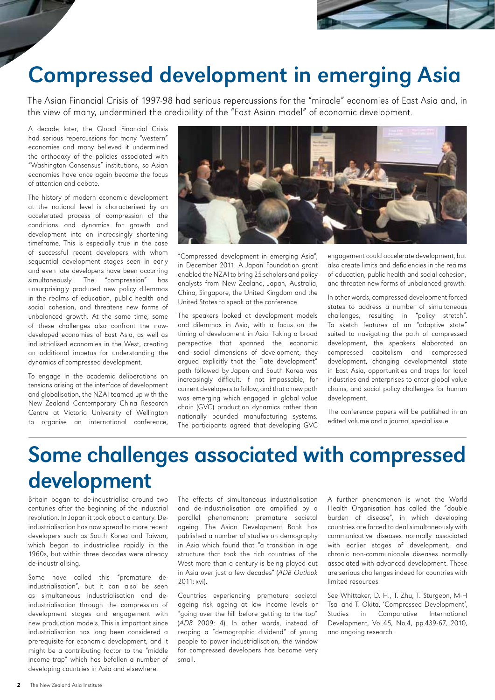

### Compressed development in emerging Asia

The Asian Financial Crisis of 1997-98 had serious repercussions for the "miracle" economies of East Asia and, in the view of many, undermined the credibility of the "East Asian model" of economic development.

A decade later, the Global Financial Crisis had serious repercussions for many "western" economies and many believed it undermined the orthodoxy of the policies associated with "Washington Consensus" institutions, so Asian economies have once again become the focus of attention and debate.

The history of modern economic development at the national level is characterised by an accelerated process of compression of the conditions and dynamics for growth and development into an increasingly shortening timeframe. This is especially true in the case of successful recent developers with whom sequential development stages seen in early and even late developers have been occurring simultaneously. The "compression" has unsurprisingly produced new policy dilemmas in the realms of education, public health and social cohesion, and threatens new forms of unbalanced growth. At the same time, some of these challenges also confront the nowdeveloped economies of East Asia, as well as industrialised economies in the West, creating an additional impetus for understanding the dynamics of compressed development.

To engage in the academic deliberations on tensions arising at the interface of development and globalisation, the NZAI teamed up with the New Zealand Contemporary China Research Centre at Victoria University of Wellington to organise an international conference,



"Compressed development in emerging Asia", in December 2011. A Japan Foundation grant enabled the NZAI to bring 25 scholars and policy analysts from New Zealand, Japan, Australia, China, Singapore, the United Kingdom and the United States to speak at the conference.

The speakers looked at development models and dilemmas in Asia, with a focus on the timing of development in Asia. Taking a broad perspective that spanned the economic and social dimensions of development, they argued explicitly that the "late development" path followed by Japan and South Korea was increasingly difficult, if not impassable, for current developers to follow, and that a new path was emerging which engaged in global value chain (GVC) production dynamics rather than nationally bounded manufacturing systems. The participants agreed that developing GVC

engagement could accelerate development, but also create limits and deficiencies in the realms of education, public health and social cohesion, and threaten new forms of unbalanced growth.

In other words, compressed development forced states to address a number of simultaneous challenges, resulting in "policy stretch". To sketch features of an "adaptive state" suited to navigating the path of compressed development, the speakers elaborated on compressed capitalism and compressed development, changing developmental state in East Asia, opportunities and traps for local industries and enterprises to enter global value chains, and social policy challenges for human development.

The conference papers will be published in an edited volume and a journal special issue.

### Some challenges associated with compressed development

Britain began to de-industrialise around two centuries after the beginning of the industrial revolution. In Japan it took about a century. Deindustrialisation has now spread to more recent developers such as South Korea and Taiwan, which began to industrialise rapidly in the 1960s, but within three decades were already de-industrialising.

Some have called this "premature deindustrialisation", but it can also be seen as simultaneous industrialisation and deindustrialisation through the compression of development stages and engagement with new production models. This is important since industrialisation has long been considered a prerequisite for economic development, and it might be a contributing factor to the "middle income trap" which has befallen a number of developing countries in Asia and elsewhere.

The effects of simultaneous industrialisation and de-industrialisation are amplified by a parallel phenomenon: premature societal ageing. The Asian Development Bank has published a number of studies on demography in Asia which found that "a transition in age structure that took the rich countries of the West more than a century is being played out in Asia over just a few decades" (ADB Outlook 2011: xvi).

Countries experiencing premature societal ageing risk ageing at low income levels or "going over the hill before getting to the top" (ADB 2009: 4). In other words, instead of reaping a "demographic dividend" of young people to power industrialisation, the window for compressed developers has become very small.

A further phenomenon is what the World Health Organisation has called the "double burden of disease", in which developing countries are forced to deal simultaneously with communicative diseases normally associated with earlier stages of development, and chronic non-communicable diseases normally associated with advanced development. These are serious challenges indeed for countries with limited resources.

See Whittaker, D. H., T. Zhu, T. Sturgeon, M-H Tsai and T. Okita, 'Compressed Development', Studies in Comparative International Development, Vol.45, No.4, pp.439-67, 2010, and ongoing research.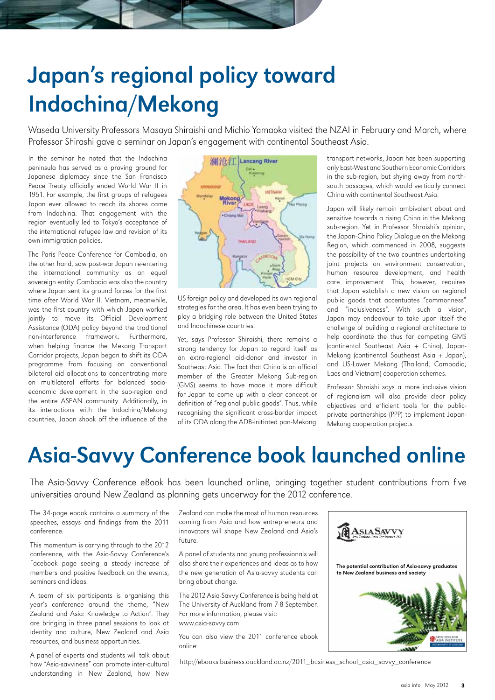# Japan's regional policy toward Indochina/Mekong

Waseda University Professors Masaya Shiraishi and Michio Yamaoka visited the NZAI in February and March, where Professor Shirashi gave a seminar on Japan's engagement with continental Southeast Asia.

In the seminar he noted that the Indochina peninsula has served as a proving ground for Japanese diplomacy since the San Francisco Peace Treaty officially ended World War II in 1951. For example, the first groups of refugees Japan ever allowed to reach its shores came from Indochina. That engagement with the region eventually led to Tokyo's acceptance of the international refugee law and revision of its own immigration policies.

The Paris Peace Conference for Cambodia, on the other hand, saw post-war Japan re-entering the international community as an equal sovereign entity. Cambodia was also the country where Japan sent its ground forces for the first time after World War II. Vietnam, meanwhile, was the first country with which Japan worked jointly to move its Official Development Assistance (ODA) policy beyond the traditional non-interference framework. Furthermore, when helping finance the Mekong Transport Corridor projects, Japan began to shift its ODA programme from focusing on conventional bilateral aid allocations to concentrating more on multilateral efforts for balanced socioeconomic development in the sub-region and the entire ASEAN community. Additionally, in its interactions with the Indochina/Mekong countries, Japan shook off the influence of the



US foreign policy and developed its own regional strategies for the area. It has even been trying to play a bridging role between the United States and Indochinese countries.

Yet, says Professor Shiraishi, there remains a strong tendency for Japan to regard itself as an extra-regional aid-donor and investor in Southeast Asia. The fact that China is an official member of the Greater Mekong Sub-region (GMS) seems to have made it more difficult for Japan to come up with a clear concept or definition of "regional public goods". Thus, while recognising the significant cross-border impact of its ODA along the ADB-initiated pan-Mekong

transport networks, Japan has been supporting only East-West and Southern Economic Corridors in the sub-region, but shying away from northsouth passages, which would vertically connect China with continental Southeast Asia.

Japan will likely remain ambivalent about and sensitive towards a rising China in the Mekong sub-region. Yet in Professor Shraishi's opinion, the Japan-China Policy Dialogue on the Mekong Region, which commenced in 2008, suggests the possibility of the two countries undertaking joint projects on environment conservation, human resource development, and health care improvement. This, however, requires that Japan establish a new vision on regional public goods that accentuates "commonness" and "inclusiveness". With such a vision, Japan may endeavour to take upon itself the challenge of building a regional architecture to help coordinate the thus far competing GMS (continental Southeast Asia + China), Japan-Mekong (continental Southeast Asia + Japan), and US-Lower Mekong (Thailand, Cambodia, Laos and Vietnam) cooperation schemes.

Professor Shraishi says a more inclusive vision of regionalism will also provide clear policy objectives and efficient tools for the publicprivate partnerships (PPP) to implement Japan-Mekong cooperation projects.

The potential contribution of Asia-savvy graduates

to New Zealand business and society

**ASIASAVV** 

### Asia-Savvy Conference book launched online

The Asia-Savvy Conference eBook has been launched online, bringing together student contributions from five universities around New Zealand as planning gets underway for the 2012 conference.

The 34-page ebook contains a summary of the speeches, essays and findings from the 2011 conference.

This momentum is carrying through to the 2012 conference, with the Asia-Savvy Conference's Facebook page seeing a steady increase of members and positive feedback on the events, seminars and ideas.

A team of six participants is organising this year's conference around the theme, "New Zealand and Asia: Knowledge to Action". They are bringing in three panel sessions to look at identity and culture, New Zealand and Asia resources, and business opportunities.

A panel of experts and students will talk about how "Asia-savviness" can promote inter-cultural understanding in New Zealand, how New Zealand can make the most of human resources coming from Asia and how entrepreneurs and innovators will shape New Zealand and Asia's future.

A panel of students and young professionals will also share their experiences and ideas as to how the new generation of Asia-savvy students can bring about change.

The 2012 Asia-Savvy Conference is being held at The University of Auckland from 7-8 September. For more information, please visit: www.asia-savvy.com

You can also view the 2011 conference ebook online:

http://ebooks.business.auckland.ac.nz/2011\_business\_school\_asia\_savvy\_conference

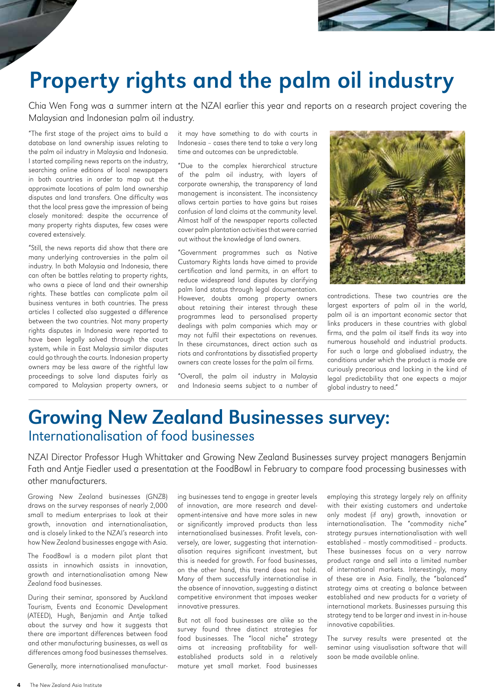

### Property rights and the palm oil industry

Chia Wen Fong was a summer intern at the NZAI earlier this year and reports on a research project covering the Malaysian and Indonesian palm oil industry.

"The first stage of the project aims to build a database on land ownership issues relating to the palm oil industry in Malaysia and Indonesia. I started compiling news reports on the industry, searching online editions of local newspapers in both countries in order to map out the approximate locations of palm land ownership disputes and land transfers. One difficulty was that the local press gave the impression of being closely monitored: despite the occurrence of many property rights disputes, few cases were covered extensively.

"Still, the news reports did show that there are many underlying controversies in the palm oil industry. In both Malaysia and Indonesia, there can often be battles relating to property rights, who owns a piece of land and their ownership rights. These battles can complicate palm oil business ventures in both countries. The press articles I collected also suggested a difference between the two countries. Not many property rights disputes in Indonesia were reported to have been legally solved through the court system, while in East Malaysia similar disputes could go through the courts. Indonesian property owners may be less aware of the rightful law proceedings to solve land disputes fairly as compared to Malaysian property owners, or

it may have something to do with courts in Indonesia – cases there tend to take a very long time and outcomes can be unpredictable.

"Due to the complex hierarchical structure of the palm oil industry, with layers of corporate ownership, the transparency of land management is inconsistent. The inconsistency allows certain parties to have gains but raises confusion of land claims at the community level. Almost half of the newspaper reports collected cover palm plantation activities that were carried out without the knowledge of land owners.

"Government programmes such as Native Customary Rights lands have aimed to provide certification and land permits, in an effort to reduce widespread land disputes by clarifying palm land status through legal documentation. However, doubts among property owners about retaining their interest through these programmes lead to personalised property dealings with palm companies which may or may not fulfil their expectations on revenues. In these circumstances, direct action such as riots and confrontations by dissatisfied property owners can create losses for the palm oil firms.

"Overall, the palm oil industry in Malaysia and Indonesia seems subject to a number of



contradictions. These two countries are the largest exporters of palm oil in the world, palm oil is an important economic sector that links producers in these countries with global firms, and the palm oil itself finds its way into numerous household and industrial products. For such a large and globalised industry, the conditions under which the product is made are curiously precarious and lacking in the kind of legal predictability that one expects a major global industry to need."

### Growing New Zealand Businesses survey: Internationalisation of food businesses

NZAI Director Professor Hugh Whittaker and Growing New Zealand Businesses survey project managers Benjamin Fath and Antie Fiedler used a presentation at the FoodBowl in February to compare food processing businesses with other manufacturers.

Growing New Zealand businesses (GNZB) draws on the survey responses of nearly 2,000 small to medium enterprises to look at their growth, innovation and internationalisation, and is closely linked to the NZAI's research into how New Zealand businesses engage with Asia.

The FoodBowl is a modern pilot plant that assists in innowhich assists in innovation, growth and internationalisation among New Zealand food businesses.

During their seminar, sponsored by Auckland Tourism, Events and Economic Development (ATEED), Hugh, Benjamin and Antje talked about the survey and how it suggests that there are important differences between food and other manufacturing businesses, as well as differences among food businesses themselves.

Generally, more internationalised manufactur-

ing businesses tend to engage in greater levels of innovation, are more research and development-intensive and have more sales in new or significantly improved products than less internationalised businesses. Profit levels, conversely, are lower, suggesting that internationalisation requires significant investment, but this is needed for growth. For food businesses, on the other hand, this trend does not hold. Many of them successfully internationalise in the absence of innovation, suggesting a distinct competitive environment that imposes weaker innovative pressures.

But not all food businesses are alike so the survey found three distinct strategies for food businesses. The "local niche" strategy aims at increasing profitability for wellestablished products sold in a relatively mature yet small market. Food businesses

employing this strategy largely rely on affinity with their existing customers and undertake only modest (if any) growth, innovation or internationalisation. The "commodity niche" strategy pursues internationalisation with well established – mostly commoditised – products. These businesses focus on a very narrow product range and sell into a limited number of international markets. Interestingly, many of these are in Asia. Finally, the "balanced" strategy aims at creating a balance between established and new products for a variety of international markets. Businesses pursuing this strategy tend to be larger and invest in in-house innovative capabilities.

The survey results were presented at the seminar using visualisation software that will soon be made available online.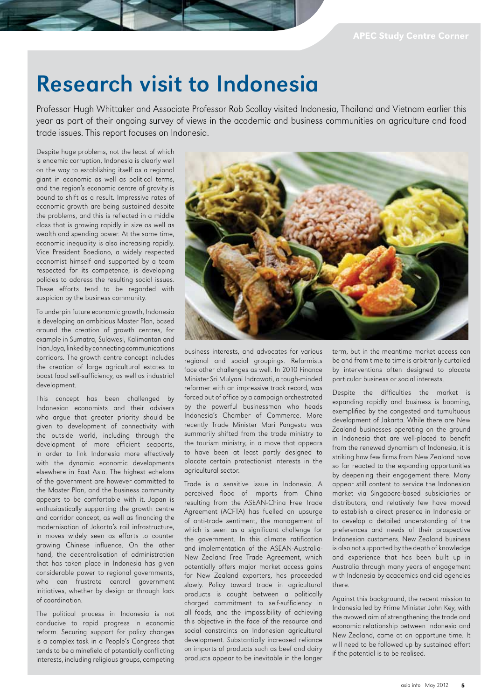### Research visit to Indonesia

Professor Hugh Whittaker and Associate Professor Rob Scollay visited Indonesia, Thailand and Vietnam earlier this year as part of their ongoing survey of views in the academic and business communities on agriculture and food trade issues. This report focuses on Indonesia.

Despite huge problems, not the least of which is endemic corruption, Indonesia is clearly well on the way to establishing itself as a regional giant in economic as well as political terms, and the region's economic centre of gravity is bound to shift as a result. Impressive rates of economic growth are being sustained despite the problems, and this is reflected in a middle class that is growing rapidly in size as well as wealth and spending power. At the same time, economic inequality is also increasing rapidly. Vice President Boediono, a widely respected economist himself and supported by a team respected for its competence, is developing policies to address the resulting social issues. These efforts tend to be regarded with suspicion by the business community.

To underpin future economic growth, Indonesia is developing an ambitious Master Plan, based around the creation of growth centres, for example in Sumatra, Sulawesi, Kalimantan and Irian Jaya, linked by connecting communications corridors. The growth centre concept includes the creation of large agricultural estates to boost food self-sufficiency, as well as industrial development.

This concept has been challenged by Indonesian economists and their advisers who argue that greater priority should be given to development of connectivity with the outside world, including through the development of more efficient seaports, in order to link Indonesia more effectively with the dynamic economic developments elsewhere in East Asia. The highest echelons of the government are however committed to the Master Plan, and the business community appears to be comfortable with it. Japan is enthusiastically supporting the growth centre and corridor concept, as well as financing the modernisation of Jakarta's rail infrastructure, in moves widely seen as efforts to counter growing Chinese influence. On the other hand, the decentralisation of administration that has taken place in Indonesia has given considerable power to regional governments, who can frustrate central government initiatives, whether by design or through lack of coordination.

The political process in Indonesia is not conducive to rapid progress in economic reform. Securing support for policy changes is a complex task in a People's Congress that tends to be a minefield of potentially conflicting interests, including religious groups, competing



business interests, and advocates for various regional and social groupings. Reformists face other challenges as well. In 2010 Finance Minister Sri Mulyani Indrawati, a tough-minded reformer with an impressive track record, was forced out of office by a campaign orchestrated by the powerful businessman who heads Indonesia's Chamber of Commerce. More recently Trade Minister Mari Pangestu was summarily shifted from the trade ministry to the tourism ministry, in a move that appears to have been at least partly designed to placate certain protectionist interests in the agricultural sector.

Trade is a sensitive issue in Indonesia. A perceived flood of imports from China resulting from the ASEAN-China Free Trade Agreement (ACFTA) has fuelled an upsurge of anti-trade sentiment, the management of which is seen as a significant challenge for the government. In this climate ratification and implementation of the ASEAN-Australia-New Zealand Free Trade Agreement, which potentially offers major market access gains for New Zealand exporters, has proceeded slowly. Policy toward trade in agricultural products is caught between a politically charged commitment to self-sufficiency in all foods, and the impossibility of achieving this objective in the face of the resource and social constraints on Indonesian agricultural development. Substantially increased reliance on imports of products such as beef and dairy products appear to be inevitable in the longer

term, but in the meantime market access can be and from time to time is arbitrarily curtailed by interventions often designed to placate particular business or social interests.

Despite the difficulties the market is expanding rapidly and business is booming, exemplified by the congested and tumultuous development of Jakarta. While there are New Zealand businesses operating on the ground in Indonesia that are well-placed to benefit from the renewed dynamism of Indonesia, it is striking how few firms from New Zealand have so far reacted to the expanding opportunities by deepening their engagement there. Many appear still content to service the Indonesian market via Singapore-based subsidiaries or distributors, and relatively few have moved to establish a direct presence in Indonesia or to develop a detailed understanding of the preferences and needs of their prospective Indonesian customers. New Zealand business is also not supported by the depth of knowledge and experience that has been built up in Australia through many years of engagement with Indonesia by academics and aid agencies there.

Against this background, the recent mission to Indonesia led by Prime Minister John Key, with the avowed aim of strengthening the trade and economic relationship between Indonesia and New Zealand, came at an opportune time. It will need to be followed up by sustained effort if the potential is to be realised.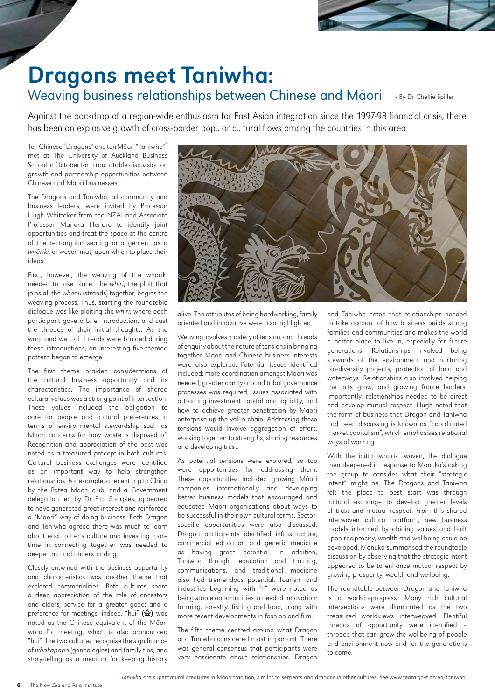

## Dragons meet Taniwha:

#### Weaving business relationships between Chinese and Māori - By Dr Chellie Spiller

Against the backdrop of a region-wide enthusiasm for East Asian integration since the 1997-98 financial crisis, there has been an explosive growth of cross-border popular cultural flows among the countries in this area.

Ten Chinese "Dragons" and ten Māori "Taniwha"1 met at The University of Auckland Business School in October for a roundtable discussion on growth and partnership opportunities between Chinese and Māori businesses.

The Dragons and Taniwha, all community and business leaders, were invited by Professor Hugh Whittaker from the NZAI and Associate Professor Manuka Henare to identify joint opportunities and treat the space at the centre of the rectangular seating arrangement as a whāriki, or woven mat, upon which to place their ideas.

First, however, the weaving of the whāriki needed to take place. The whiri, the plait that joins all the whenu (strands) together, begins the weaving process. Thus, starting the roundtable dialogue was like plaiting the whiri, where each participant gave a brief introduction, and cast the threads of their initial thoughts. As the warp and weft of threads were braided during these introductions, an interesting five-themed pattern began to emerge.

The first theme braided considerations of the cultural business opportunity and its characteristics. The importance of shared cultural values was a strong point of intersection. These values included the obligation to care for people and cultural preferences in terms of environmental stewardship such as Māori concerns for how waste is disposed of. Recognition and appreciation of the past was noted as a treasured precept in both cultures. Cultural business exchanges were identified as an important way to help strengthen relationships. For example, a recent trip to China by the Patea Māori club, and a Government delegation led by Dr Pita Sharples, appeared to have generated great interest and reinforced a "Māori" way of doing business. Both Dragon and Taniwha agreed there was much to learn about each other's culture and investing more time in connecting together was needed to deepen mutual understanding.

Closely entwined with the business opportunity and characteristics was another theme that explored commonalities. Both cultures share a deep appreciation of the role of ancestors and elders; service for a greater good; and a preference for meetings, indeed, "hui" (会) was noted as the Chinese equivalent of the Māori word for meeting, which is also pronounced "hui". The two cultures recognise the significance of whakapapa (genealogies) and family ties, and story-telling as a medium for keeping history



alive. The attributes of being hardworking, family oriented and innovative were also highlighted.

Weaving involves mastery of tension, and threads of enquiry about the nature of tensions in bringing together Māori and Chinese business interests were also explored. Potential issues identified included: more coordination amongst Māori was needed, greater clarity around tribal governance processes was required, issues associated with attracting investment capital and liquidity, and how to achieve greater penetration by Māori enterprise up the value chain. Addressing these tensions would involve aggregation of effort, working together to strengths, sharing resources and developing trust.

As potential tensions were explored, so too were opportunities for addressing them. These opportunities included growing Māori companies internationally and developing better business models that encouraged and educated Māori organisations about ways to be successful in their own cultural terms. Sectorspecific opportunities were also discussed. Dragon participants identified infrastructure, commercial education and generic medicine as having great potential. In addition, Taniwha thought education and training, communications, and traditional medicine also had tremendous potential. Tourism and industries beginning with "F" were noted as being staple opportunities in need of innovation: farming, forestry, fishing and food, along with more recent developments in fashion and film.

The fifth theme centred around what Dragon and Taniwha considered most important. There was general consensus that participants were very passionate about relationships. Dragon

and Taniwha noted that relationships needed to take account of how business builds strong families and communities and makes the world a better place to live in, especially for future generations. Relationships involved being stewards of the environment and nurturing bio-diversity projects, protection of land and waterways. Relationships also involved helping the arts grow, and growing future leaders. Importantly, relationships needed to be direct and develop mutual respect. Hugh noted that the form of business that Dragon and Taniwha had been discussing is known as "coordinated market capitalism", which emphasises relational ways of working.

With the initial whāriki woven, the dialogue then deepened in response to Manuka's asking the group to consider what their "strategic intent" might be. The Dragons and Taniwha felt the place to best start was through cultural exchange to develop greater levels of trust and mutual respect. From this shared interwoven cultural platform, new business models informed by abiding values and built upon reciprocity, wealth and wellbeing could be developed. Manuka summarised the roundtable discussion by observing that the strategic intent appeared to be to enhance mutual respect by growing prosperity, wealth and wellbeing.

The roundtable between Dragon and Taniwha is a work-in-progress. Many rich cultural intersections were illuminated as the two treasured worldviews interweaved. Plentiful threads of opportunity were identified – threads that can grow the wellbeing of people and environment now and for the generations to come.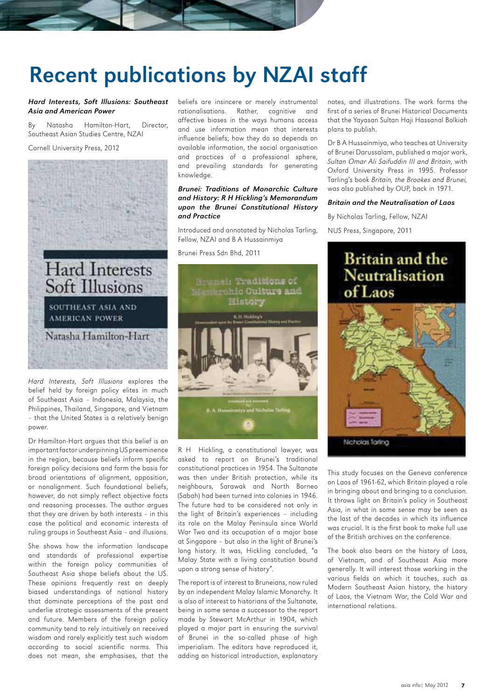### Recent publications by NZAI staff

#### *Hard Interests, Soft Illusions: Southeast Asia and American Power*

By Natasha Hamilton-Hart, Director, Southeast Asian Studies Centre, NZAI

#### Cornell University Press, 2012



Hard Interests, Soft Illusions explores the belief held by foreign policy elites in much of Southeast Asia – Indonesia, Malaysia, the Philippines, Thailand, Singapore, and Vietnam – that the United States is a relatively benign power.

Dr Hamilton-Hart argues that this belief is an important factor underpinning US preeminence in the region, because beliefs inform specific foreign policy decisions and form the basis for broad orientations of alignment, opposition, or nonalignment. Such foundational beliefs, however, do not simply reflect objective facts and reasoning processes. The author argues that they are driven by both interests – in this case the political and economic interests of ruling groups in Southeast Asia – and illusions.

She shows how the information landscape and standards of professional expertise within the foreign policy communities of Southeast Asia shape beliefs about the US. These opinions frequently rest on deeply biased understandings of national history that dominate perceptions of the past and underlie strategic assessments of the present and future. Members of the foreign policy community tend to rely intuitively on received wisdom and rarely explicitly test such wisdom according to social scientific norms. This does not mean, she emphasises, that the beliefs are insincere or merely instrumental rationalisations. Rather, cognitive and affective biases in the ways humans access and use information mean that interests influence beliefs; how they do so depends on available information, the social organisation and practices of a professional sphere, and prevailing standards for generating knowledge.

#### *Brunei: Traditions of Monarchic Culture and History: R H Hickling's Memorandum upon the Brunei Constitutional History and Practice*

Introduced and annotated by Nicholas Tarling, Fellow, NZAI and B A Hussainmiya

Brunei Press Sdn Bhd, 2011



R H Hickling, a constitutional lawyer, was asked to report on Brunei's traditional constitutional practices in 1954. The Sultanate was then under British protection, while its neighbours, Sarawak and North Borneo (Sabah) had been turned into colonies in 1946. The future had to be considered not only in the light of Britain's experiences – including its role on the Malay Peninsula since World War Two and its occupation of a major base at Singapore – but also in the light of Brunei's long history. It was, Hickling concluded, "a Malay State with a living constitution bound upon a strong sense of history".

The report is of interest to Bruneians, now ruled by an independent Malay Islamic Monarchy. It is also of interest to historians of the Sultanate, being in some sense a successor to the report made by Stewart McArthur in 1904, which played a major part in ensuring the survival of Brunei in the so-called phase of high imperialism. The editors have reproduced it, adding an historical introduction, explanatory

notes, and illustrations. The work forms the first of a series of Brunei Historical Documents that the Yayasan Sultan Haji Hassanal Bolkiah plans to publish.

Dr B A Hussainmiya, who teaches at University of Brunei Darussalam, published a major work, Sultan Omar Ali Saifuddin III and Britain, with Oxford University Press in 1995. Professor Tarling's book Britain, the Brookes and Brunei, was also published by OUP, back in 1971.

#### *Britain and the Neutralisation of Laos*

By Nicholas Tarling, Fellow, NZAI

NUS Press, Singapore, 2011

#### **Britain and the Neutralisation** of Laos



This study focuses on the Geneva conference on Laos of 1961-62, which Britain played a role in bringing about and bringing to a conclusion. It throws light on Britain's policy in Southeast Asia, in what in some sense may be seen as the last of the decades in which its influence was crucial. It is the first book to make full use of the British archives on the conference.

The book also bears on the history of Laos, of Vietnam, and of Southeast Asia more generally. It will interest those working in the various fields on which it touches, such as Modern Southeast Asian history, the history of Laos, the Vietnam War, the Cold War and international relations.